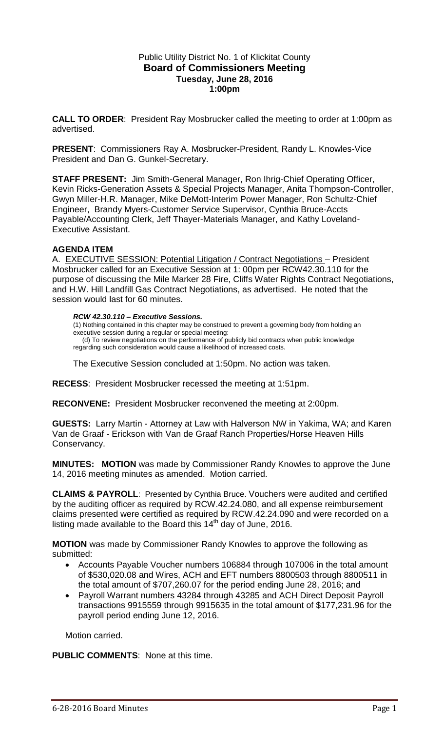### Public Utility District No. 1 of Klickitat County **Board of Commissioners Meeting Tuesday, June 28, 2016 1:00pm**

**CALL TO ORDER**: President Ray Mosbrucker called the meeting to order at 1:00pm as advertised.

**PRESENT**: Commissioners Ray A. Mosbrucker-President, Randy L. Knowles-Vice President and Dan G. Gunkel-Secretary.

**STAFF PRESENT:** Jim Smith-General Manager, Ron Ihrig-Chief Operating Officer, Kevin Ricks-Generation Assets & Special Projects Manager, Anita Thompson-Controller, Gwyn Miller-H.R. Manager, Mike DeMott-Interim Power Manager, Ron Schultz-Chief Engineer, Brandy Myers-Customer Service Supervisor, Cynthia Bruce-Accts Payable/Accounting Clerk, Jeff Thayer-Materials Manager, and Kathy Loveland-Executive Assistant.

# **AGENDA ITEM**

A. EXECUTIVE SESSION: Potential Litigation / Contract Negotiations – President Mosbrucker called for an Executive Session at 1: 00pm per RCW42.30.110 for the purpose of discussing the Mile Marker 28 Fire, Cliffs Water Rights Contract Negotiations, and H.W. Hill Landfill Gas Contract Negotiations, as advertised. He noted that the session would last for 60 minutes.

#### *RCW 42.30.110 – Executive Sessions.*

(1) Nothing contained in this chapter may be construed to prevent a governing body from holding an executive session during a regular or special meeting: (d) To review negotiations on the performance of publicly bid contracts when public knowledge regarding such consideration would cause a likelihood of increased costs.

The Executive Session concluded at 1:50pm. No action was taken.

**RECESS**: President Mosbrucker recessed the meeting at 1:51pm.

**RECONVENE:** President Mosbrucker reconvened the meeting at 2:00pm.

**GUESTS:** Larry Martin - Attorney at Law with Halverson NW in Yakima, WA; and Karen Van de Graaf - Erickson with Van de Graaf Ranch Properties/Horse Heaven Hills Conservancy.

**MINUTES: MOTION** was made by Commissioner Randy Knowles to approve the June 14, 2016 meeting minutes as amended. Motion carried.

**CLAIMS & PAYROLL**: Presented by Cynthia Bruce. Vouchers were audited and certified by the auditing officer as required by RCW.42.24.080, and all expense reimbursement claims presented were certified as required by RCW.42.24.090 and were recorded on a listing made available to the Board this  $14<sup>th</sup>$  day of June, 2016.

**MOTION** was made by Commissioner Randy Knowles to approve the following as submitted:

- Accounts Payable Voucher numbers 106884 through 107006 in the total amount of \$530,020.08 and Wires, ACH and EFT numbers 8800503 through 8800511 in the total amount of \$707,260.07 for the period ending June 28, 2016; and
- Payroll Warrant numbers 43284 through 43285 and ACH Direct Deposit Payroll transactions 9915559 through 9915635 in the total amount of \$177,231.96 for the payroll period ending June 12, 2016.

Motion carried.

**PUBLIC COMMENTS**: None at this time.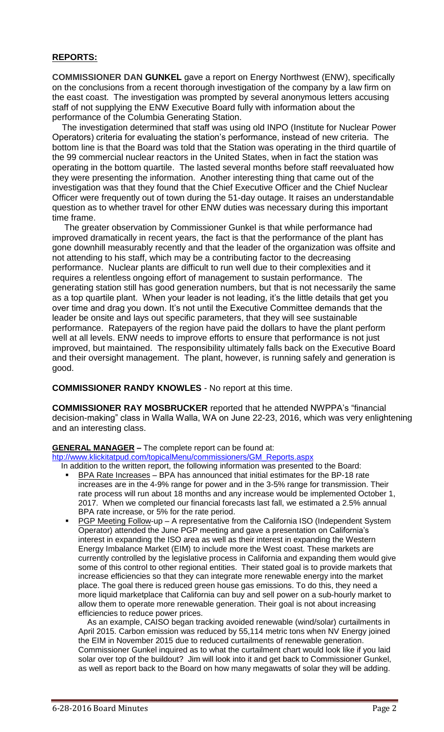#### **REPORTS:**

**COMMISSIONER DAN GUNKEL** gave a report on Energy Northwest (ENW), specifically on the conclusions from a recent thorough investigation of the company by a law firm on the east coast. The investigation was prompted by several anonymous letters accusing staff of not supplying the ENW Executive Board fully with information about the performance of the Columbia Generating Station.

 The investigation determined that staff was using old INPO (Institute for Nuclear Power Operators) criteria for evaluating the station's performance, instead of new criteria. The bottom line is that the Board was told that the Station was operating in the third quartile of the 99 commercial nuclear reactors in the United States, when in fact the station was operating in the bottom quartile. The lasted several months before staff reevaluated how they were presenting the information. Another interesting thing that came out of the investigation was that they found that the Chief Executive Officer and the Chief Nuclear Officer were frequently out of town during the 51-day outage. It raises an understandable question as to whether travel for other ENW duties was necessary during this important time frame.

 The greater observation by Commissioner Gunkel is that while performance had improved dramatically in recent years, the fact is that the performance of the plant has gone downhill measurably recently and that the leader of the organization was offsite and not attending to his staff, which may be a contributing factor to the decreasing performance. Nuclear plants are difficult to run well due to their complexities and it requires a relentless ongoing effort of management to sustain performance. The generating station still has good generation numbers, but that is not necessarily the same as a top quartile plant. When your leader is not leading, it's the little details that get you over time and drag you down. It's not until the Executive Committee demands that the leader be onsite and lays out specific parameters, that they will see sustainable performance. Ratepayers of the region have paid the dollars to have the plant perform well at all levels. ENW needs to improve efforts to ensure that performance is not just improved, but maintained. The responsibility ultimately falls back on the Executive Board and their oversight management. The plant, however, is running safely and generation is good.

**COMMISSIONER RANDY KNOWLES** - No report at this time.

**COMMISSIONER RAY MOSBRUCKER** reported that he attended NWPPA's "financial decision-making" class in Walla Walla, WA on June 22-23, 2016, which was very enlightening and an interesting class.

# **GENERAL MANAGER –** The complete report can be found at:

[htp://www.klickitatpud.com/topicalMenu/commissioners/GM\\_Reports.aspx](http://www.klickitatpud.com/topicalMenu/commissioners/GM_Reports.aspx)

In addition to the written report, the following information was presented to the Board:

- BPA Rate Increases BPA has announced that initial estimates for the BP-18 rate increases are in the 4-9% range for power and in the 3-5% range for transmission. Their rate process will run about 18 months and any increase would be implemented October 1, 2017. When we completed our financial forecasts last fall, we estimated a 2.5% annual BPA rate increase, or 5% for the rate period.
- PGP Meeting Follow-up A representative from the California ISO (Independent System Operator) attended the June PGP meeting and gave a presentation on California's interest in expanding the ISO area as well as their interest in expanding the Western Energy Imbalance Market (EIM) to include more the West coast. These markets are currently controlled by the legislative process in California and expanding them would give some of this control to other regional entities. Their stated goal is to provide markets that increase efficiencies so that they can integrate more renewable energy into the market place. The goal there is reduced green house gas emissions. To do this, they need a more liquid marketplace that California can buy and sell power on a sub-hourly market to allow them to operate more renewable generation. Their goal is not about increasing efficiencies to reduce power prices.

 As an example, CAISO began tracking avoided renewable (wind/solar) curtailments in April 2015. Carbon emission was reduced by 55,114 metric tons when NV Energy joined the EIM in November 2015 due to reduced curtailments of renewable generation. Commissioner Gunkel inquired as to what the curtailment chart would look like if you laid solar over top of the buildout? Jim will look into it and get back to Commissioner Gunkel, as well as report back to the Board on how many megawatts of solar they will be adding.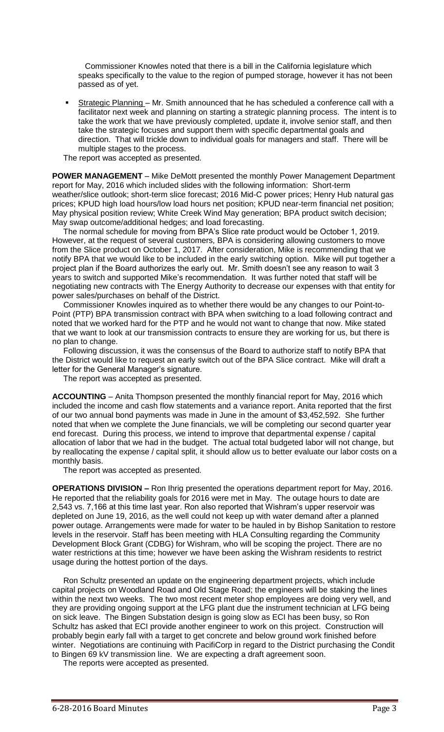Commissioner Knowles noted that there is a bill in the California legislature which speaks specifically to the value to the region of pumped storage, however it has not been passed as of yet.

Strategic Planning - Mr. Smith announced that he has scheduled a conference call with a facilitator next week and planning on starting a strategic planning process. The intent is to take the work that we have previously completed, update it, involve senior staff, and then take the strategic focuses and support them with specific departmental goals and direction. That will trickle down to individual goals for managers and staff. There will be multiple stages to the process.

The report was accepted as presented.

**POWER MANAGEMENT** – Mike DeMott presented the monthly Power Management Department report for May, 2016 which included slides with the following information: Short-term weather/slice outlook; short-term slice forecast; 2016 Mid-C power prices; Henry Hub natural gas prices; KPUD high load hours/low load hours net position; KPUD near-term financial net position; May physical position review; White Creek Wind May generation; BPA product switch decision; May swap outcome/additional hedges; and load forecasting.

 The normal schedule for moving from BPA's Slice rate product would be October 1, 2019. However, at the request of several customers, BPA is considering allowing customers to move from the Slice product on October 1, 2017. After consideration, Mike is recommending that we notify BPA that we would like to be included in the early switching option. Mike will put together a project plan if the Board authorizes the early out. Mr. Smith doesn't see any reason to wait 3 years to switch and supported Mike's recommendation. It was further noted that staff will be negotiating new contracts with The Energy Authority to decrease our expenses with that entity for power sales/purchases on behalf of the District.

 Commissioner Knowles inquired as to whether there would be any changes to our Point-to-Point (PTP) BPA transmission contract with BPA when switching to a load following contract and noted that we worked hard for the PTP and he would not want to change that now. Mike stated that we want to look at our transmission contracts to ensure they are working for us, but there is no plan to change.

 Following discussion, it was the consensus of the Board to authorize staff to notify BPA that the District would like to request an early switch out of the BPA Slice contract. Mike will draft a letter for the General Manager's signature.

The report was accepted as presented.

**ACCOUNTING** – Anita Thompson presented the monthly financial report for May, 2016 which included the income and cash flow statements and a variance report. Anita reported that the first of our two annual bond payments was made in June in the amount of \$3,452,592. She further noted that when we complete the June financials, we will be completing our second quarter year end forecast. During this process, we intend to improve that departmental expense / capital allocation of labor that we had in the budget. The actual total budgeted labor will not change, but by reallocating the expense / capital split, it should allow us to better evaluate our labor costs on a monthly basis.

The report was accepted as presented.

**OPERATIONS DIVISION –** Ron Ihrig presented the operations department report for May, 2016. He reported that the reliability goals for 2016 were met in May. The outage hours to date are 2,543 vs. 7,166 at this time last year. Ron also reported that Wishram's upper reservoir was depleted on June 19, 2016, as the well could not keep up with water demand after a planned power outage. Arrangements were made for water to be hauled in by Bishop Sanitation to restore levels in the reservoir. Staff has been meeting with HLA Consulting regarding the Community Development Block Grant (CDBG) for Wishram, who will be scoping the project. There are no water restrictions at this time; however we have been asking the Wishram residents to restrict usage during the hottest portion of the days.

 Ron Schultz presented an update on the engineering department projects, which include capital projects on Woodland Road and Old Stage Road; the engineers will be staking the lines within the next two weeks. The two most recent meter shop employees are doing very well, and they are providing ongoing support at the LFG plant due the instrument technician at LFG being on sick leave. The Bingen Substation design is going slow as ECI has been busy, so Ron Schultz has asked that ECI provide another engineer to work on this project. Construction will probably begin early fall with a target to get concrete and below ground work finished before winter. Negotiations are continuing with PacifiCorp in regard to the District purchasing the Condit to Bingen 69 kV transmission line. We are expecting a draft agreement soon.

The reports were accepted as presented.